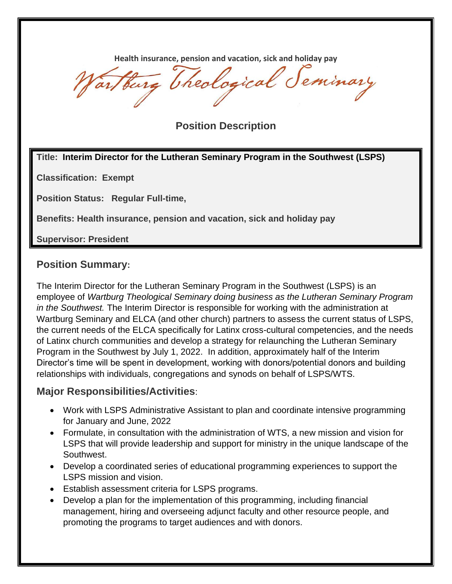**Health insurance, pension and vacation, sick and holiday pay**

artburg Theological Seminary

**Position Description**

#### **Title: Interim Director for the Lutheran Seminary Program in the Southwest (LSPS)**

**Classification: Exempt**

**Position Status: Regular Full-time,** 

**Benefits: Health insurance, pension and vacation, sick and holiday pay**

**Supervisor: President**

### **Position Summary:**

The Interim Director for the Lutheran Seminary Program in the Southwest (LSPS) is an employee of *Wartburg Theological Seminary doing business as the Lutheran Seminary Program in the Southwest.* The Interim Director is responsible for working with the administration at Wartburg Seminary and ELCA (and other church) partners to assess the current status of LSPS, the current needs of the ELCA specifically for Latinx cross-cultural competencies, and the needs of Latinx church communities and develop a strategy for relaunching the Lutheran Seminary Program in the Southwest by July 1, 2022. In addition, approximately half of the Interim Director's time will be spent in development, working with donors/potential donors and building relationships with individuals, congregations and synods on behalf of LSPS/WTS.

### **Major Responsibilities/Activities**:

- Work with LSPS Administrative Assistant to plan and coordinate intensive programming for January and June, 2022
- Formulate, in consultation with the administration of WTS, a new mission and vision for LSPS that will provide leadership and support for ministry in the unique landscape of the Southwest.
- Develop a coordinated series of educational programming experiences to support the LSPS mission and vision.
- Establish assessment criteria for LSPS programs.
- Develop a plan for the implementation of this programming, including financial management, hiring and overseeing adjunct faculty and other resource people, and promoting the programs to target audiences and with donors.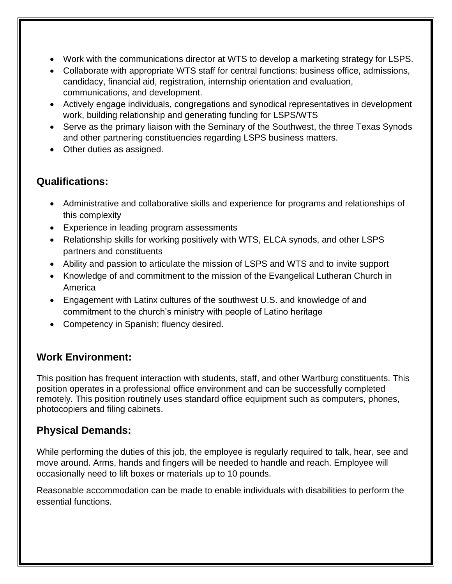- Work with the communications director at WTS to develop a marketing strategy for LSPS.
- Collaborate with appropriate WTS staff for central functions: business office, admissions, candidacy, financial aid, registration, internship orientation and evaluation, communications, and development.
- Actively engage individuals, congregations and synodical representatives in development work, building relationship and generating funding for LSPS/WTS
- Serve as the primary liaison with the Seminary of the Southwest, the three Texas Synods and other partnering constituencies regarding LSPS business matters.
- Other duties as assigned.

# **Qualifications:**

- Administrative and collaborative skills and experience for programs and relationships of this complexity
- Experience in leading program assessments
- Relationship skills for working positively with WTS, ELCA synods, and other LSPS partners and constituents
- Ability and passion to articulate the mission of LSPS and WTS and to invite support
- Knowledge of and commitment to the mission of the Evangelical Lutheran Church in America
- Engagement with Latinx cultures of the southwest U.S. and knowledge of and commitment to the church's ministry with people of Latino heritage
- Competency in Spanish; fluency desired.

### **Work Environment:**

This position has frequent interaction with students, staff, and other Wartburg constituents. This position operates in a professional office environment and can be successfully completed remotely. This position routinely uses standard office equipment such as computers, phones, photocopiers and filing cabinets.

# **Physical Demands:**

While performing the duties of this job, the employee is regularly required to talk, hear, see and move around. Arms, hands and fingers will be needed to handle and reach. Employee will occasionally need to lift boxes or materials up to 10 pounds.

Reasonable accommodation can be made to enable individuals with disabilities to perform the essential functions.